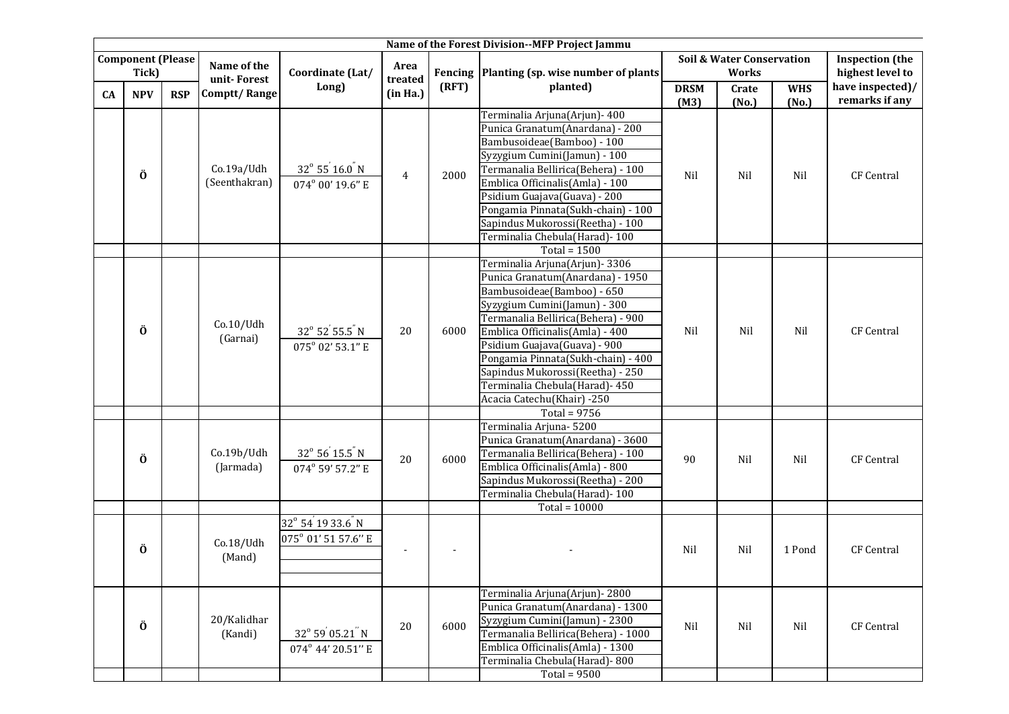| Name of the Forest Division--MFP Project Jammu |            |             |                             |                                                     |                                                                                                                        |                                             |                                     |                                    |                                            |            |                   |
|------------------------------------------------|------------|-------------|-----------------------------|-----------------------------------------------------|------------------------------------------------------------------------------------------------------------------------|---------------------------------------------|-------------------------------------|------------------------------------|--------------------------------------------|------------|-------------------|
| <b>Component (Please</b><br>Tick)              |            | Name of the | Coordinate (Lat/            | Area                                                |                                                                                                                        | Fencing Planting (sp. wise number of plants |                                     | Soil & Water Conservation<br>Works | <b>Inspection</b> (the<br>highest level to |            |                   |
|                                                |            |             | unit-Forest                 | Long)                                               | $\operatorname*{treated}% \operatorname*{t}\left( \mathcal{M}\right) \equiv\operatorname*{t}\left( \mathcal{M}\right)$ | (RFT)                                       | planted)                            | <b>DRSM</b><br>Crate               |                                            | <b>WHS</b> | have inspected)/  |
| <b>CA</b>                                      | <b>NPV</b> | <b>RSP</b>  | Comptt/Range                |                                                     | (in Ha.)                                                                                                               |                                             |                                     | (M3)                               | (No.)                                      | (No.)      | remarks if any    |
|                                                |            |             |                             |                                                     | 4                                                                                                                      |                                             | Terminalia Arjuna(Arjun) - 400      |                                    |                                            | Nil        |                   |
|                                                |            |             |                             | $32^{\circ} 55^{'} 16.0^{''} N$<br>074° 00' 19.6" E |                                                                                                                        |                                             | Punica Granatum(Anardana) - 200     |                                    | Nil                                        |            |                   |
|                                                |            |             | Co.19a/Udh<br>(Seenthakran) |                                                     |                                                                                                                        | 2000                                        | Bambusoideae(Bamboo) - 100          |                                    |                                            |            | <b>CF Central</b> |
|                                                |            |             |                             |                                                     |                                                                                                                        |                                             | Syzygium Cumini(Jamun) - 100        | Nil                                |                                            |            |                   |
|                                                | Ö          |             |                             |                                                     |                                                                                                                        |                                             | Termanalia Bellirica(Behera) - 100  |                                    |                                            |            |                   |
|                                                |            |             |                             |                                                     |                                                                                                                        |                                             | Emblica Officinalis(Amla) - 100     |                                    |                                            |            |                   |
|                                                |            |             |                             |                                                     |                                                                                                                        |                                             | Psidium Guajava(Guava) - 200        |                                    |                                            |            |                   |
|                                                |            |             |                             |                                                     |                                                                                                                        |                                             | Pongamia Pinnata(Sukh-chain) - 100  |                                    |                                            |            |                   |
|                                                |            |             |                             |                                                     |                                                                                                                        |                                             | Sapindus Mukorossi(Reetha) - 100    |                                    |                                            |            |                   |
|                                                |            |             |                             |                                                     |                                                                                                                        |                                             | Terminalia Chebula(Harad)-100       |                                    |                                            |            |                   |
|                                                |            |             |                             |                                                     |                                                                                                                        |                                             | Total = $1500$                      |                                    |                                            |            |                   |
|                                                |            |             | Co.10/Udh<br>(Garnai)       |                                                     |                                                                                                                        | 6000                                        | Terminalia Arjuna(Arjun) - 3306     |                                    | Nil                                        | Nil        | <b>CF Central</b> |
|                                                |            |             |                             |                                                     | 20                                                                                                                     |                                             | Punica Granatum(Anardana) - 1950    |                                    |                                            |            |                   |
|                                                |            |             |                             |                                                     |                                                                                                                        |                                             | Bambusoideae(Bamboo) - 650          |                                    |                                            |            |                   |
|                                                |            |             |                             |                                                     |                                                                                                                        |                                             | Syzygium Cumini(Jamun) - 300        |                                    |                                            |            |                   |
|                                                | Ö          |             |                             |                                                     |                                                                                                                        |                                             | Termanalia Bellirica(Behera) - 900  |                                    |                                            |            |                   |
|                                                |            |             |                             | $32^{\circ}$ 52 55.5 N                              |                                                                                                                        |                                             | Emblica Officinalis(Amla) - 400     | Nil                                |                                            |            |                   |
|                                                |            |             |                             | 075° 02' 53.1" E                                    |                                                                                                                        |                                             | Psidium Guajava(Guava) - 900        |                                    |                                            |            |                   |
|                                                |            |             |                             |                                                     |                                                                                                                        |                                             | Pongamia Pinnata(Sukh-chain) - 400  |                                    |                                            |            |                   |
|                                                |            |             |                             |                                                     |                                                                                                                        |                                             | Sapindus Mukorossi(Reetha) - 250    |                                    |                                            |            |                   |
|                                                |            |             |                             |                                                     |                                                                                                                        |                                             | Terminalia Chebula(Harad) - 450     |                                    |                                            |            |                   |
|                                                |            |             |                             |                                                     |                                                                                                                        |                                             | Acacia Catechu(Khair) -250          |                                    |                                            |            |                   |
|                                                |            |             |                             |                                                     |                                                                                                                        |                                             | Total = $9756$                      |                                    |                                            |            |                   |
|                                                |            | Ö           | Co.19b/Udh<br>(Jarmada)     | $32^{\circ} 56^{'} 15.5^{''} N$<br>074° 59' 57.2" E | 20                                                                                                                     | 6000                                        | Terminalia Arjuna-5200              | 90                                 | Nil                                        | Nil        | CF Central        |
|                                                |            |             |                             |                                                     |                                                                                                                        |                                             | Punica Granatum(Anardana) - 3600    |                                    |                                            |            |                   |
|                                                |            |             |                             |                                                     |                                                                                                                        |                                             | Termanalia Bellirica(Behera) - 100  |                                    |                                            |            |                   |
|                                                |            |             |                             |                                                     |                                                                                                                        |                                             | Emblica Officinalis(Amla) - 800     |                                    |                                            |            |                   |
|                                                |            |             |                             |                                                     |                                                                                                                        |                                             | Sapindus Mukorossi(Reetha) - 200    |                                    |                                            |            |                   |
|                                                |            |             |                             |                                                     |                                                                                                                        |                                             | Terminalia Chebula(Harad) - 100     |                                    |                                            |            |                   |
|                                                |            |             |                             |                                                     |                                                                                                                        |                                             | Total = $10000$                     |                                    |                                            |            |                   |
|                                                |            |             | Co.18/Udh                   | 32° 54 19 33.6 N                                    |                                                                                                                        |                                             |                                     |                                    | Nil                                        | 1 Pond     | <b>CF Central</b> |
|                                                |            |             |                             | 075° 01' 51 57.6" E                                 |                                                                                                                        |                                             |                                     | Nil                                |                                            |            |                   |
|                                                | Ö          |             |                             |                                                     | $\overline{\phantom{a}}$                                                                                               |                                             |                                     |                                    |                                            |            |                   |
|                                                |            |             | (Mand)                      |                                                     |                                                                                                                        |                                             |                                     |                                    |                                            |            |                   |
|                                                |            |             |                             |                                                     |                                                                                                                        |                                             |                                     |                                    |                                            |            |                   |
|                                                |            |             | 20/Kalidhar<br>(Kandi)      | 32° 59 05.21 N                                      |                                                                                                                        |                                             | Terminalia Arjuna(Arjun) - 2800     |                                    | Nil                                        | Nil        |                   |
|                                                |            |             |                             |                                                     |                                                                                                                        | 6000                                        | Punica Granatum(Anardana) - 1300    |                                    |                                            |            | CF Central        |
|                                                |            |             |                             |                                                     | 20                                                                                                                     |                                             | Syzygium Cumini(Jamun) - 2300       |                                    |                                            |            |                   |
|                                                | Ö          |             |                             |                                                     |                                                                                                                        |                                             | Termanalia Bellirica(Behera) - 1000 | Nil                                |                                            |            |                   |
|                                                |            |             |                             | 074° 44' 20.51" E                                   |                                                                                                                        |                                             | Emblica Officinalis(Amla) - 1300    |                                    |                                            |            |                   |
|                                                |            |             |                             |                                                     |                                                                                                                        |                                             | Terminalia Chebula(Harad) - 800     |                                    |                                            |            |                   |
|                                                |            |             |                             |                                                     |                                                                                                                        |                                             | Total = $9500$                      |                                    |                                            |            |                   |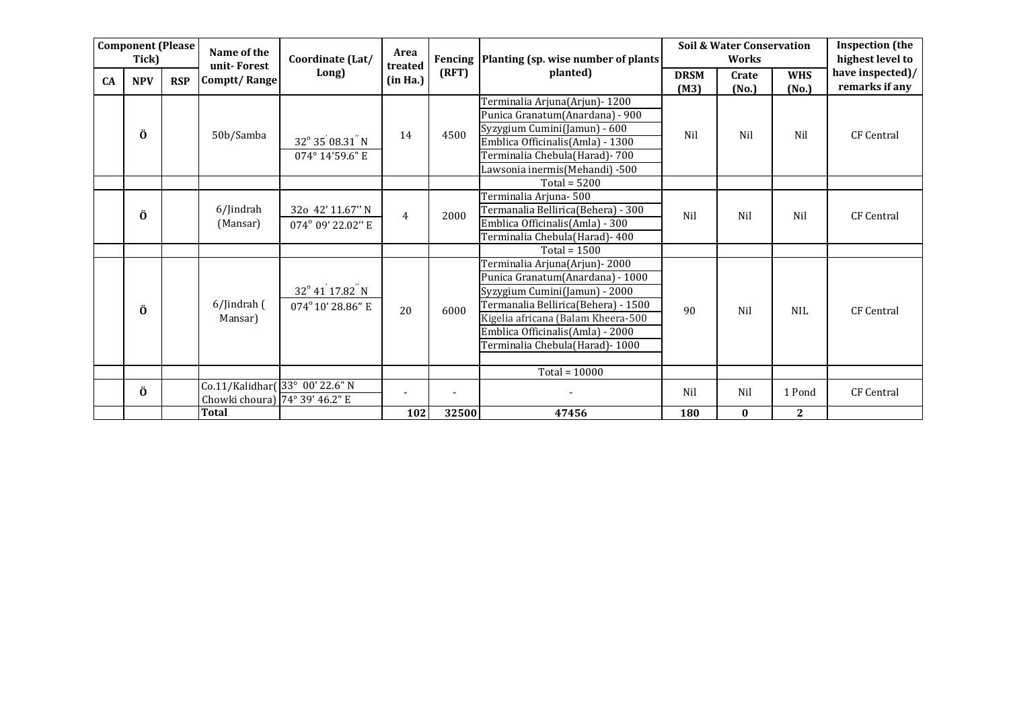| <b>Component (Please</b> |                     |              | Name of the                                                                | Coordinate (Lat/                                             | Area                |                          | Fencing   Planting (sp. wise number of plants)                                                                                                                                                                                                            |                     | <b>Soil &amp; Water Conservation</b><br><b>Works</b> | <b>Inspection</b> (the<br>highest level to |                                    |
|--------------------------|---------------------|--------------|----------------------------------------------------------------------------|--------------------------------------------------------------|---------------------|--------------------------|-----------------------------------------------------------------------------------------------------------------------------------------------------------------------------------------------------------------------------------------------------------|---------------------|------------------------------------------------------|--------------------------------------------|------------------------------------|
| CA                       | Tick)<br><b>NPV</b> | <b>RSP</b>   | unit-Forest<br>Comptt/Range                                                | Long)                                                        | treated<br>(in Ha.) | (RFT)                    | planted)                                                                                                                                                                                                                                                  | <b>DRSM</b><br>(M3) | Crate<br>(No.)                                       | <b>WHS</b><br>(No.)                        | have inspected)/<br>remarks if any |
|                          | Ö                   |              | 50b/Samba                                                                  | 32° 35' 08.31" N<br>074° 14'59.6" E                          | 14                  | 4500                     | Terminalia Arjuna(Arjun) - 1200<br>Punica Granatum(Anardana) - 900<br>Syzygium Cumini(Jamun) - 600<br>Emblica Officinalis(Amla) - 1300<br>Terminalia Chebula(Harad) - 700<br>Lawsonia inermis(Mehandi) -500                                               | Nil                 | Nil                                                  | Nil                                        | <b>CF Central</b>                  |
|                          |                     |              |                                                                            |                                                              |                     |                          | Total = $5200$                                                                                                                                                                                                                                            |                     |                                                      |                                            |                                    |
|                          | Ö                   |              | 6/Jindrah<br>(Mansar)                                                      | 32o 42' 11.67" N<br>074° 09' 22.02" E                        | $\overline{4}$      | 2000                     | Terminalia Arjuna-500<br>Termanalia Bellirica(Behera) - 300<br>Emblica Officinalis(Amla) - 300<br>Terminalia Chebula(Harad) - 400                                                                                                                         | Nil                 | Nil                                                  | Nil                                        | <b>CF Central</b>                  |
|                          |                     |              |                                                                            |                                                              |                     |                          | Total = $1500$                                                                                                                                                                                                                                            |                     |                                                      |                                            |                                    |
|                          | Ö                   |              | 6/Jindrah (<br>Mansar)                                                     | 32° 41 <sup>'</sup> 17.82 <sup>"</sup> N<br>074°10' 28.86" E | 20                  | 6000                     | Terminalia Arjuna(Arjun) - 2000<br>Punica Granatum(Anardana) - 1000<br>Syzygium Cumini(Jamun) - 2000<br>Termanalia Bellirica(Behera) - 1500<br>Kigelia africana (Balam Kheera-500<br>Emblica Officinalis(Amla) - 2000<br>Terminalia Chebula(Harad) - 1000 | 90                  | Nil                                                  | NIL.                                       | <b>CF</b> Central                  |
|                          |                     |              |                                                                            |                                                              |                     |                          | Total = $10000$                                                                                                                                                                                                                                           |                     |                                                      |                                            |                                    |
|                          | Ö                   |              | Co.11/Kalidhar(33° 00' 22.6" N<br>Chowki choura) $74^{\circ} 39' 46.2''$ E |                                                              |                     | $\overline{\phantom{a}}$ |                                                                                                                                                                                                                                                           | Nil                 | Nil                                                  | 1 Pond                                     | <b>CF</b> Central                  |
|                          |                     | <b>Total</b> |                                                                            | 102                                                          | 32500               | 47456                    | 180                                                                                                                                                                                                                                                       | $\bf{0}$            | $\mathbf{2}$                                         |                                            |                                    |